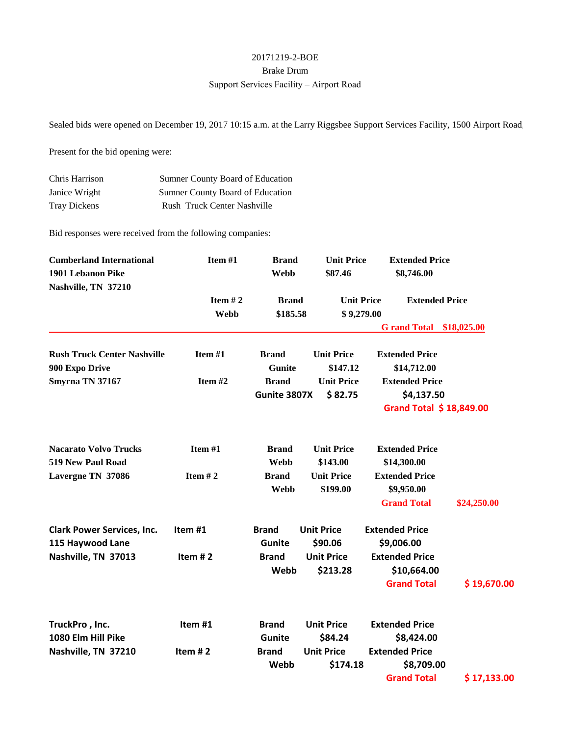## 20171219-2-BOE Brake Drum Support Services Facility – Airport Road

Sealed bids were opened on December 19, 2017 10:15 a.m. at the Larry Riggsbee Support Services Facility, 1500 Airport Road,

Present for the bid opening were:

| Chris Harrison      | Sumner County Board of Education   |
|---------------------|------------------------------------|
| Janice Wright       | Sumner County Board of Education   |
| <b>Tray Dickens</b> | <b>Rush Truck Center Nashville</b> |

Bid responses were received from the following companies:

| <b>Cumberland International</b><br>1901 Lebanon Pike<br>Nashville, TN 37210 | Item #1<br>Item $#2$<br><b>Webb</b> | <b>Brand</b><br><b>Webb</b> | <b>Unit Price</b><br>\$87.46    | <b>Extended Price</b><br>\$8,746.00 |                         |
|-----------------------------------------------------------------------------|-------------------------------------|-----------------------------|---------------------------------|-------------------------------------|-------------------------|
|                                                                             |                                     | <b>Brand</b><br>\$185.58    | <b>Unit Price</b><br>\$9,279.00 | <b>Extended Price</b>               |                         |
|                                                                             |                                     |                             |                                 | <b>G</b> rand Total                 | \$18,025.00             |
| <b>Rush Truck Center Nashville</b>                                          | Item #1                             | <b>Brand</b>                | <b>Unit Price</b>               | <b>Extended Price</b>               |                         |
| 900 Expo Drive                                                              |                                     | <b>Gunite</b>               | \$147.12                        | \$14,712.00                         |                         |
| Smyrna TN 37167                                                             | Item#2                              | <b>Brand</b>                | <b>Unit Price</b>               | <b>Extended Price</b>               |                         |
|                                                                             |                                     | Gunite 3807X                | \$82.75                         | \$4,137.50                          |                         |
|                                                                             |                                     |                             |                                 |                                     | Grand Total \$18,849.00 |
| <b>Nacarato Volvo Trucks</b>                                                | Item #1                             | <b>Brand</b>                | <b>Unit Price</b>               | <b>Extended Price</b>               |                         |
| 519 New Paul Road                                                           |                                     | <b>Webb</b>                 | \$143.00                        | \$14,300.00                         |                         |
| Lavergne TN 37086                                                           | Item $# 2$                          | <b>Brand</b>                | <b>Unit Price</b>               | <b>Extended Price</b>               |                         |
|                                                                             |                                     | Webb                        | \$199.00                        | \$9,950.00                          |                         |
|                                                                             |                                     |                             |                                 | <b>Grand Total</b>                  | \$24,250.00             |
| <b>Clark Power Services, Inc.</b>                                           | Item#1                              | <b>Brand</b>                | <b>Unit Price</b>               | <b>Extended Price</b>               |                         |
| 115 Haywood Lane                                                            |                                     | <b>Gunite</b>               | \$90.06                         | \$9,006.00                          |                         |
| Nashville, TN 37013                                                         | Item $# 2$                          | <b>Brand</b>                | <b>Unit Price</b>               | <b>Extended Price</b>               |                         |
|                                                                             |                                     | Webb                        | \$213.28                        | \$10,664.00                         |                         |
|                                                                             |                                     |                             |                                 | <b>Grand Total</b>                  | \$19,670.00             |
| TruckPro, Inc.                                                              | Item#1                              | <b>Brand</b>                | <b>Unit Price</b>               | <b>Extended Price</b>               |                         |
| 1080 Elm Hill Pike                                                          |                                     | <b>Gunite</b>               | \$84.24                         | \$8,424.00                          |                         |
| Nashville, TN 37210                                                         | Item $#2$                           | <b>Brand</b>                | <b>Unit Price</b>               | <b>Extended Price</b>               |                         |
|                                                                             |                                     | Webb                        | \$174.18                        | \$8,709.00                          |                         |
|                                                                             |                                     |                             |                                 | <b>Grand Total</b>                  | \$17,133.00             |